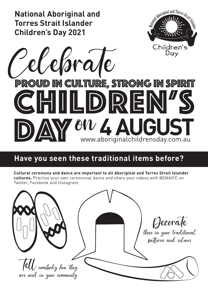

## **Have you seen these traditional items before?**

**Cultural ceremony and dance are important to all Aboriginal and Torres Strait Islander cultures.** Practise your own ceremonial dance and share your videos with @SNAICC on Twitter, Facebook and Instagram.

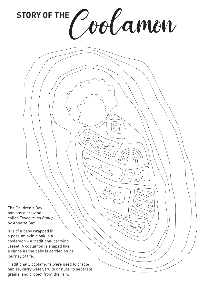STORY OF THE Coolamon

 $\circ$ 

**POST** 

 $\overline{O}$ 

The Children's Day bag has a drawing called *Taungurung Bubup* by Annette Sax.

It is of a baby wrapped in a possum skin cloak in a coolamon – a traditional carrying vessel. A coolamon is shaped like a canoe as the baby is carried on its journey of life.

Traditionally coolamons were used to cradle babies, carry water, fruits or nuts, to separate grains, and protect from the rain.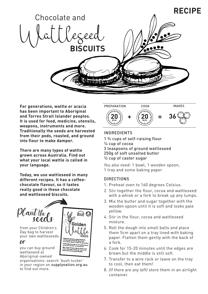

**For generations, wattle or acacia has been important to Aboriginal and Torres Strait Islander peoples. It is used for food, medicine, utensils, weapons, instruments and more. Traditionally the seeds are harvested from their pods, roasted, and ground into flour to make damper.** 

**There are many types of wattle grown across Australia. Find out what your local wattle is called in your language.**

**Today, we use wattleseed in many different recipes. It has a coffeechocolate flavour, so it tastes really good in these chocolate and wattleseed biscuits.**



 $\theta$ r

you can buy ground wattleseed at Aboriginal-owned

organisations: search 'bush tucker' in your region on supplynation.org.au to find out more.



## INGREDIENTS

1 ¾ cups of self-raising flour ¼ cup of cocoa 3 teaspoons of ground wattleseed 250g of soft unsalted butter ½ cup of caster sugar

*You also need:* 1 bowl, 1 wooden spoon, 1 tray and some baking paper

## DIRECTIONS

- 1. Preheat oven to 160 degrees Celsius.
- 2. Stir together the flour, cocoa and wattleseed with a whisk or a fork to break up any lumps.
- 3. Mix the butter and sugar together with the wooden spoon until it is soft and looks pale yellow.
- 4. Stir in the flour, cocoa and wattleseed mixture.
- 5. Roll the dough into small balls and place them 5cm apart on a tray lined with baking paper. Flatten them gently with the back of a fork.
- 6. Cook for 15-20 minutes until the edges are brown but the middle is still soft.
- 7. Transfer to a wire rack or leave on the tray to cool, then eat them!
- 8. *(If there are any left)* store them in an airtight container.